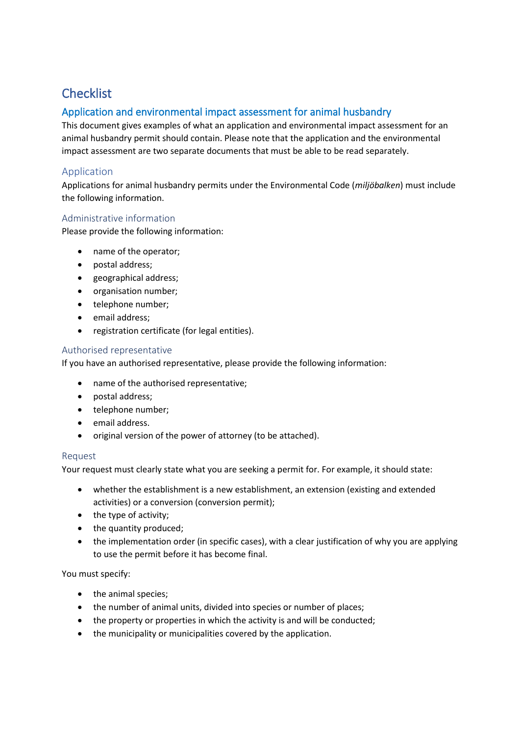# **Checklist**

# Application and environmental impact assessment for animal husbandry

This document gives examples of what an application and environmental impact assessment for an animal husbandry permit should contain. Please note that the application and the environmental impact assessment are two separate documents that must be able to be read separately.

# Application

Applications for animal husbandry permits under the Environmental Code (*miljöbalken*) must include the following information.

## Administrative information

Please provide the following information:

- name of the operator;
- postal address;
- geographical address;
- organisation number;
- telephone number;
- email address;
- registration certificate (for legal entities).

## Authorised representative

If you have an authorised representative, please provide the following information:

- name of the authorised representative;
- postal address;
- telephone number;
- email address.
- original version of the power of attorney (to be attached).

## Request

Your request must clearly state what you are seeking a permit for. For example, it should state:

- whether the establishment is a new establishment, an extension (existing and extended activities) or a conversion (conversion permit);
- the type of activity;
- the quantity produced;
- the implementation order (in specific cases), with a clear justification of why you are applying to use the permit before it has become final.

You must specify:

- the animal species;
- the number of animal units, divided into species or number of places;
- the property or properties in which the activity is and will be conducted;
- the municipality or municipalities covered by the application.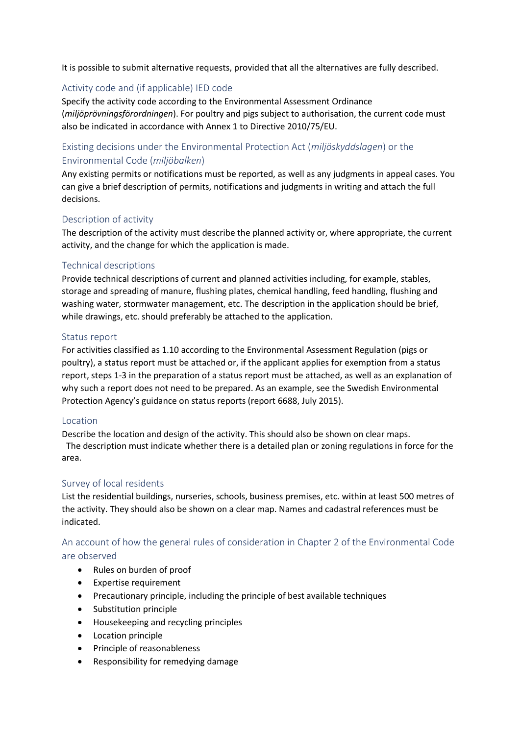It is possible to submit alternative requests, provided that all the alternatives are fully described.

## Activity code and (if applicable) IED code

Specify the activity code according to the Environmental Assessment Ordinance (*miljöprövningsförordningen*). For poultry and pigs subject to authorisation, the current code must also be indicated in accordance with Annex 1 to Directive 2010/75/EU.

# Existing decisions under the Environmental Protection Act (*miljöskyddslagen*) or the Environmental Code (*miljöbalken*)

Any existing permits or notifications must be reported, as well as any judgments in appeal cases. You can give a brief description of permits, notifications and judgments in writing and attach the full decisions.

## Description of activity

The description of the activity must describe the planned activity or, where appropriate, the current activity, and the change for which the application is made.

## Technical descriptions

Provide technical descriptions of current and planned activities including, for example, stables, storage and spreading of manure, flushing plates, chemical handling, feed handling, flushing and washing water, stormwater management, etc. The description in the application should be brief, while drawings, etc. should preferably be attached to the application.

#### Status report

For activities classified as 1.10 according to the Environmental Assessment Regulation (pigs or poultry), a status report must be attached or, if the applicant applies for exemption from a status report, steps 1-3 in the preparation of a status report must be attached, as well as an explanation of why such a report does not need to be prepared. As an example, see the Swedish Environmental Protection Agency's guidance on status reports (report 6688, July 2015).

#### Location

Describe the location and design of the activity. This should also be shown on clear maps. The description must indicate whether there is a detailed plan or zoning regulations in force for the area.

## Survey of local residents

List the residential buildings, nurseries, schools, business premises, etc. within at least 500 metres of the activity. They should also be shown on a clear map. Names and cadastral references must be indicated.

# An account of how the general rules of consideration in Chapter 2 of the Environmental Code are observed

- Rules on burden of proof
- Expertise requirement
- Precautionary principle, including the principle of best available techniques
- Substitution principle
- Housekeeping and recycling principles
- Location principle
- Principle of reasonableness
- Responsibility for remedying damage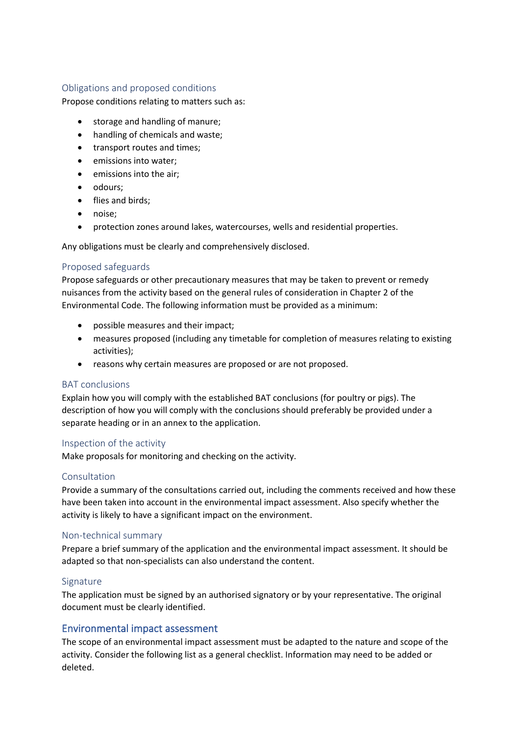## Obligations and proposed conditions

Propose conditions relating to matters such as:

- storage and handling of manure;
- handling of chemicals and waste;
- transport routes and times;
- emissions into water;
- emissions into the air;
- odours;
- flies and birds;
- noise;
- protection zones around lakes, watercourses, wells and residential properties.

Any obligations must be clearly and comprehensively disclosed.

## Proposed safeguards

Propose safeguards or other precautionary measures that may be taken to prevent or remedy nuisances from the activity based on the general rules of consideration in Chapter 2 of the Environmental Code. The following information must be provided as a minimum:

- possible measures and their impact;
- measures proposed (including any timetable for completion of measures relating to existing activities);
- reasons why certain measures are proposed or are not proposed.

## BAT conclusions

Explain how you will comply with the established BAT conclusions (for poultry or pigs). The description of how you will comply with the conclusions should preferably be provided under a separate heading or in an annex to the application.

## Inspection of the activity

Make proposals for monitoring and checking on the activity.

## Consultation

Provide a summary of the consultations carried out, including the comments received and how these have been taken into account in the environmental impact assessment. Also specify whether the activity is likely to have a significant impact on the environment.

## Non-technical summary

Prepare a brief summary of the application and the environmental impact assessment. It should be adapted so that non-specialists can also understand the content.

## **Signature**

The application must be signed by an authorised signatory or by your representative. The original document must be clearly identified.

# Environmental impact assessment

The scope of an environmental impact assessment must be adapted to the nature and scope of the activity. Consider the following list as a general checklist. Information may need to be added or deleted.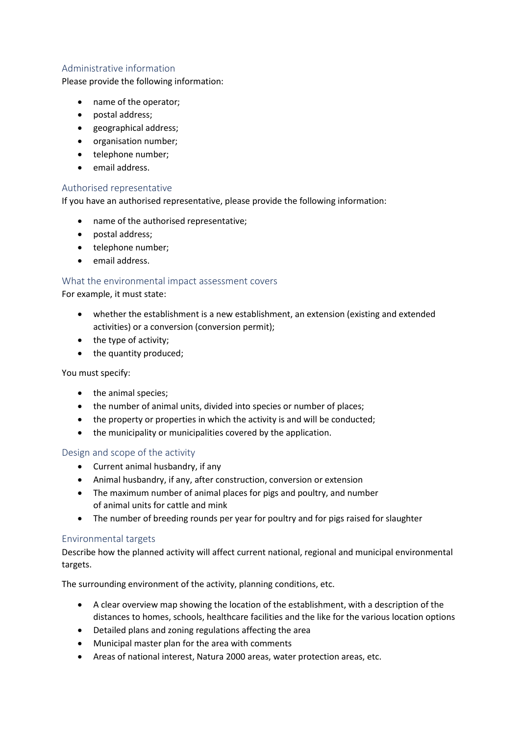## Administrative information

Please provide the following information:

- name of the operator;
- postal address;
- geographical address;
- organisation number;
- telephone number;
- email address.

#### Authorised representative

If you have an authorised representative, please provide the following information:

- name of the authorised representative;
- postal address;
- telephone number;
- email address.

## What the environmental impact assessment covers

For example, it must state:

- whether the establishment is a new establishment, an extension (existing and extended activities) or a conversion (conversion permit);
- the type of activity:
- the quantity produced;

You must specify:

- the animal species;
- the number of animal units, divided into species or number of places;
- the property or properties in which the activity is and will be conducted;
- the municipality or municipalities covered by the application.

## Design and scope of the activity

- Current animal husbandry, if any
- Animal husbandry, if any, after construction, conversion or extension
- The maximum number of animal places for pigs and poultry, and number of animal units for cattle and mink
- The number of breeding rounds per year for poultry and for pigs raised for slaughter

## Environmental targets

Describe how the planned activity will affect current national, regional and municipal environmental targets.

The surrounding environment of the activity, planning conditions, etc.

- A clear overview map showing the location of the establishment, with a description of the distances to homes, schools, healthcare facilities and the like for the various location options
- Detailed plans and zoning regulations affecting the area
- Municipal master plan for the area with comments
- Areas of national interest, Natura 2000 areas, water protection areas, etc.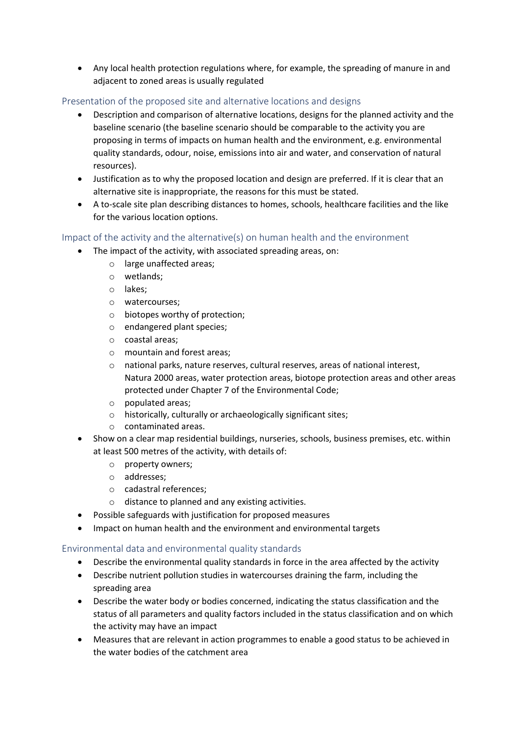• Any local health protection regulations where, for example, the spreading of manure in and adjacent to zoned areas is usually regulated

## Presentation of the proposed site and alternative locations and designs

- Description and comparison of alternative locations, designs for the planned activity and the baseline scenario (the baseline scenario should be comparable to the activity you are proposing in terms of impacts on human health and the environment, e.g. environmental quality standards, odour, noise, emissions into air and water, and conservation of natural resources).
- Justification as to why the proposed location and design are preferred. If it is clear that an alternative site is inappropriate, the reasons for this must be stated.
- A to-scale site plan describing distances to homes, schools, healthcare facilities and the like for the various location options.

## Impact of the activity and the alternative(s) on human health and the environment

- The impact of the activity, with associated spreading areas, on:
	- o large unaffected areas;
	- o wetlands;
	- o lakes;
	- o watercourses;
	- o biotopes worthy of protection;
	- o endangered plant species;
	- o coastal areas;
	- o mountain and forest areas;
	- o national parks, nature reserves, cultural reserves, areas of national interest, Natura 2000 areas, water protection areas, biotope protection areas and other areas protected under Chapter 7 of the Environmental Code;
	- o populated areas;
	- o historically, culturally or archaeologically significant sites;
	- o contaminated areas.
- Show on a clear map residential buildings, nurseries, schools, business premises, etc. within at least 500 metres of the activity, with details of:
	- o property owners;
	- o addresses;
	- o cadastral references;
	- o distance to planned and any existing activities.
- Possible safeguards with justification for proposed measures
- Impact on human health and the environment and environmental targets

## Environmental data and environmental quality standards

- Describe the environmental quality standards in force in the area affected by the activity
- Describe nutrient pollution studies in watercourses draining the farm, including the spreading area
- Describe the water body or bodies concerned, indicating the status classification and the status of all parameters and quality factors included in the status classification and on which the activity may have an impact
- Measures that are relevant in action programmes to enable a good status to be achieved in the water bodies of the catchment area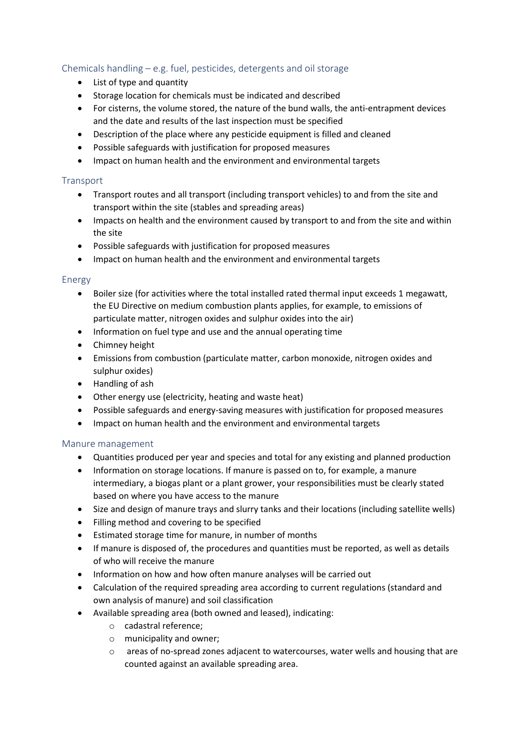# Chemicals handling – e.g. fuel, pesticides, detergents and oil storage

- List of type and quantity
- Storage location for chemicals must be indicated and described
- For cisterns, the volume stored, the nature of the bund walls, the anti-entrapment devices and the date and results of the last inspection must be specified
- Description of the place where any pesticide equipment is filled and cleaned
- Possible safeguards with justification for proposed measures
- Impact on human health and the environment and environmental targets

## **Transport**

- Transport routes and all transport (including transport vehicles) to and from the site and transport within the site (stables and spreading areas)
- Impacts on health and the environment caused by transport to and from the site and within the site
- Possible safeguards with justification for proposed measures
- Impact on human health and the environment and environmental targets

## Energy

- Boiler size (for activities where the total installed rated thermal input exceeds 1 megawatt, the EU Directive on medium combustion plants applies, for example, to emissions of particulate matter, nitrogen oxides and sulphur oxides into the air)
- Information on fuel type and use and the annual operating time
- Chimney height
- Emissions from combustion (particulate matter, carbon monoxide, nitrogen oxides and sulphur oxides)
- Handling of ash
- Other energy use (electricity, heating and waste heat)
- Possible safeguards and energy-saving measures with justification for proposed measures
- Impact on human health and the environment and environmental targets

## Manure management

- Quantities produced per year and species and total for any existing and planned production
- Information on storage locations. If manure is passed on to, for example, a manure intermediary, a biogas plant or a plant grower, your responsibilities must be clearly stated based on where you have access to the manure
- Size and design of manure trays and slurry tanks and their locations (including satellite wells)
- Filling method and covering to be specified
- Estimated storage time for manure, in number of months
- If manure is disposed of, the procedures and quantities must be reported, as well as details of who will receive the manure
- Information on how and how often manure analyses will be carried out
- Calculation of the required spreading area according to current regulations (standard and own analysis of manure) and soil classification
- Available spreading area (both owned and leased), indicating:
	- o cadastral reference;
	- o municipality and owner;
	- $\circ$  areas of no-spread zones adjacent to watercourses, water wells and housing that are counted against an available spreading area.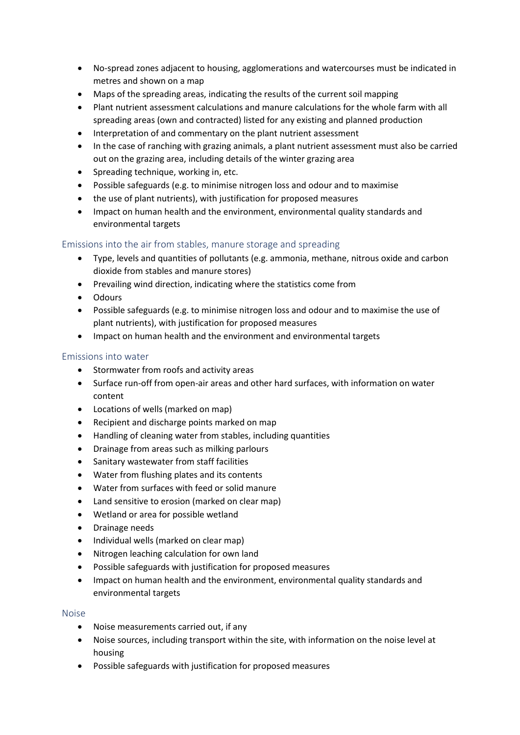- No-spread zones adjacent to housing, agglomerations and watercourses must be indicated in metres and shown on a map
- Maps of the spreading areas, indicating the results of the current soil mapping
- Plant nutrient assessment calculations and manure calculations for the whole farm with all spreading areas (own and contracted) listed for any existing and planned production
- Interpretation of and commentary on the plant nutrient assessment
- In the case of ranching with grazing animals, a plant nutrient assessment must also be carried out on the grazing area, including details of the winter grazing area
- Spreading technique, working in, etc.
- Possible safeguards (e.g. to minimise nitrogen loss and odour and to maximise
- the use of plant nutrients), with justification for proposed measures
- Impact on human health and the environment, environmental quality standards and environmental targets

## Emissions into the air from stables, manure storage and spreading

- Type, levels and quantities of pollutants (e.g. ammonia, methane, nitrous oxide and carbon dioxide from stables and manure stores)
- Prevailing wind direction, indicating where the statistics come from
- Odours
- Possible safeguards (e.g. to minimise nitrogen loss and odour and to maximise the use of plant nutrients), with justification for proposed measures
- Impact on human health and the environment and environmental targets

## Emissions into water

- Stormwater from roofs and activity areas
- Surface run-off from open-air areas and other hard surfaces, with information on water content
- Locations of wells (marked on map)
- Recipient and discharge points marked on map
- Handling of cleaning water from stables, including quantities
- Drainage from areas such as milking parlours
- Sanitary wastewater from staff facilities
- Water from flushing plates and its contents
- Water from surfaces with feed or solid manure
- Land sensitive to erosion (marked on clear map)
- Wetland or area for possible wetland
- Drainage needs
- Individual wells (marked on clear map)
- Nitrogen leaching calculation for own land
- Possible safeguards with justification for proposed measures
- Impact on human health and the environment, environmental quality standards and environmental targets

## Noise

- Noise measurements carried out, if any
- Noise sources, including transport within the site, with information on the noise level at housing
- Possible safeguards with justification for proposed measures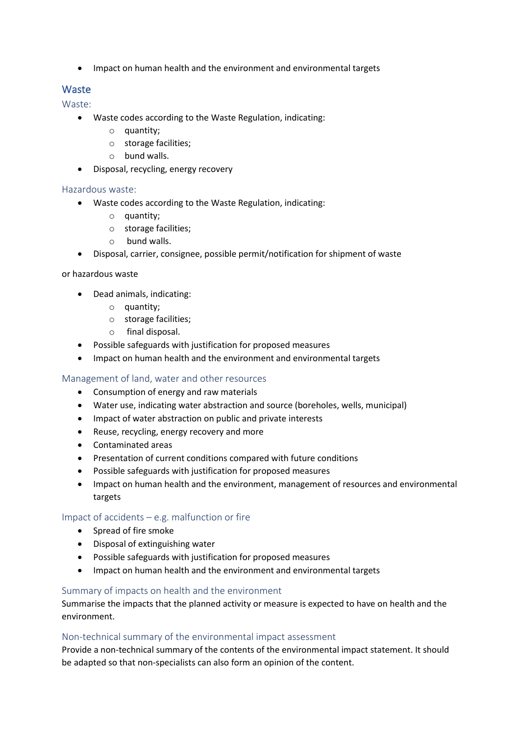• Impact on human health and the environment and environmental targets

# Waste

Waste:

- Waste codes according to the Waste Regulation, indicating:
	- $\circ$  quantity:
	- o storage facilities;
	- o bund walls.
- Disposal, recycling, energy recovery

#### Hazardous waste:

- Waste codes according to the Waste Regulation, indicating:
	- o quantity;
	- o storage facilities;
	- o bund walls.
- Disposal, carrier, consignee, possible permit/notification for shipment of waste

#### or hazardous waste

- Dead animals, indicating:
	- o quantity;
	- o storage facilities;
	- o final disposal.
- Possible safeguards with justification for proposed measures
- Impact on human health and the environment and environmental targets

## Management of land, water and other resources

- Consumption of energy and raw materials
- Water use, indicating water abstraction and source (boreholes, wells, municipal)
- Impact of water abstraction on public and private interests
- Reuse, recycling, energy recovery and more
- Contaminated areas
- Presentation of current conditions compared with future conditions
- Possible safeguards with justification for proposed measures
- Impact on human health and the environment, management of resources and environmental targets

## Impact of accidents – e.g. malfunction or fire

- Spread of fire smoke
- Disposal of extinguishing water
- Possible safeguards with justification for proposed measures
- Impact on human health and the environment and environmental targets

#### Summary of impacts on health and the environment

Summarise the impacts that the planned activity or measure is expected to have on health and the environment.

#### Non-technical summary of the environmental impact assessment

Provide a non-technical summary of the contents of the environmental impact statement. It should be adapted so that non-specialists can also form an opinion of the content.